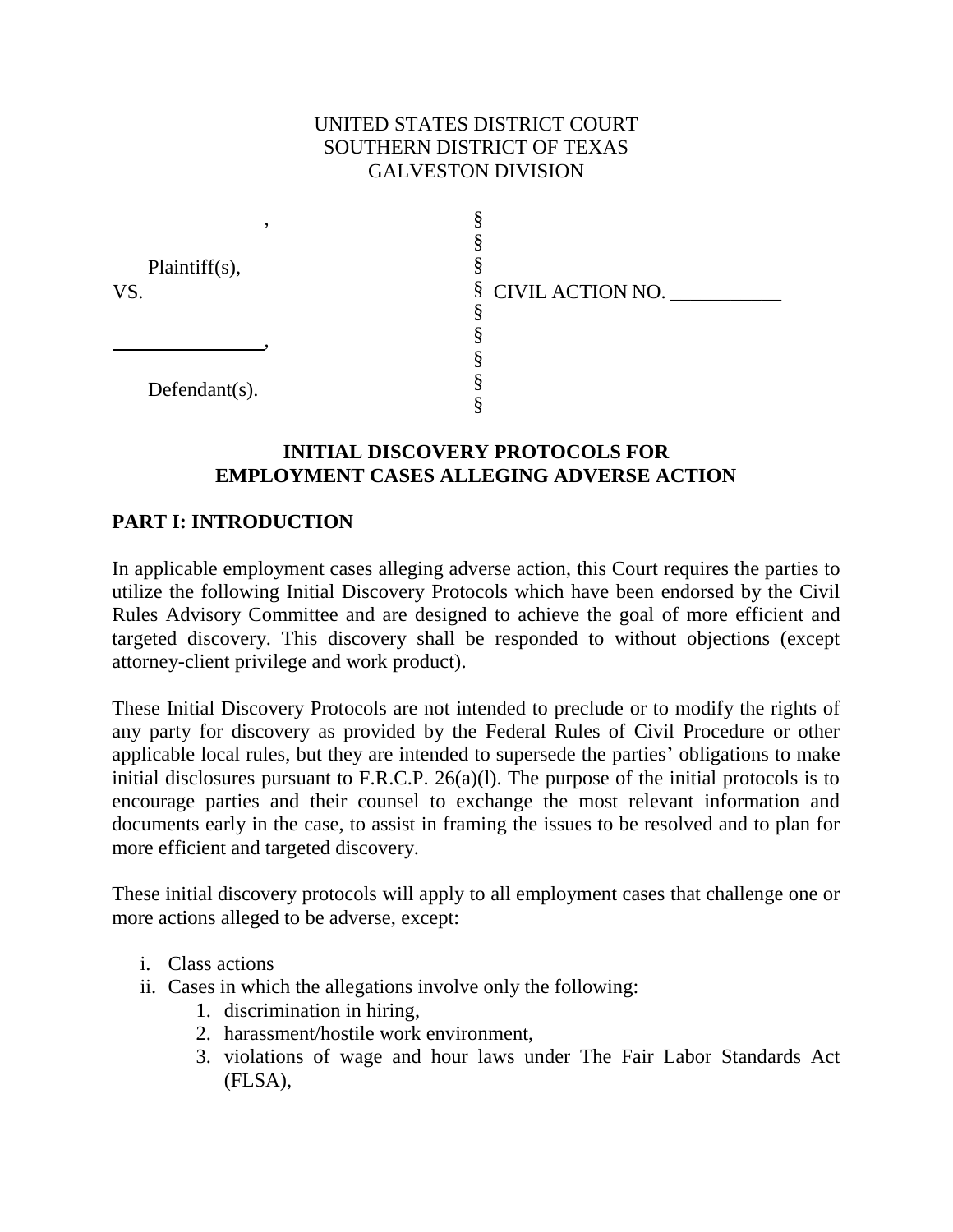# UNITED STATES DISTRICT COURT SOUTHERN DISTRICT OF TEXAS GALVESTON DIVISION

| Plaintiff $(s)$ , |                    |
|-------------------|--------------------|
| VS.               | § CIVIL ACTION NO. |
|                   |                    |
|                   |                    |
| Defendant $(s)$ . |                    |
|                   |                    |
|                   |                    |

#### **INITIAL DISCOVERY PROTOCOLS FOR EMPLOYMENT CASES ALLEGING ADVERSE ACTION**

#### **PART I: INTRODUCTION**

In applicable employment cases alleging adverse action, this Court requires the parties to utilize the following Initial Discovery Protocols which have been endorsed by the Civil Rules Advisory Committee and are designed to achieve the goal of more efficient and targeted discovery. This discovery shall be responded to without objections (except attorney-client privilege and work product).

These Initial Discovery Protocols are not intended to preclude or to modify the rights of any party for discovery as provided by the Federal Rules of Civil Procedure or other applicable local rules, but they are intended to supersede the parties' obligations to make initial disclosures pursuant to F.R.C.P. 26(a)(l). The purpose of the initial protocols is to encourage parties and their counsel to exchange the most relevant information and documents early in the case, to assist in framing the issues to be resolved and to plan for more efficient and targeted discovery.

These initial discovery protocols will apply to all employment cases that challenge one or more actions alleged to be adverse, except:

- i. Class actions
- ii. Cases in which the allegations involve only the following:
	- 1. discrimination in hiring,
	- 2. harassment/hostile work environment,
	- 3. violations of wage and hour laws under The Fair Labor Standards Act (FLSA),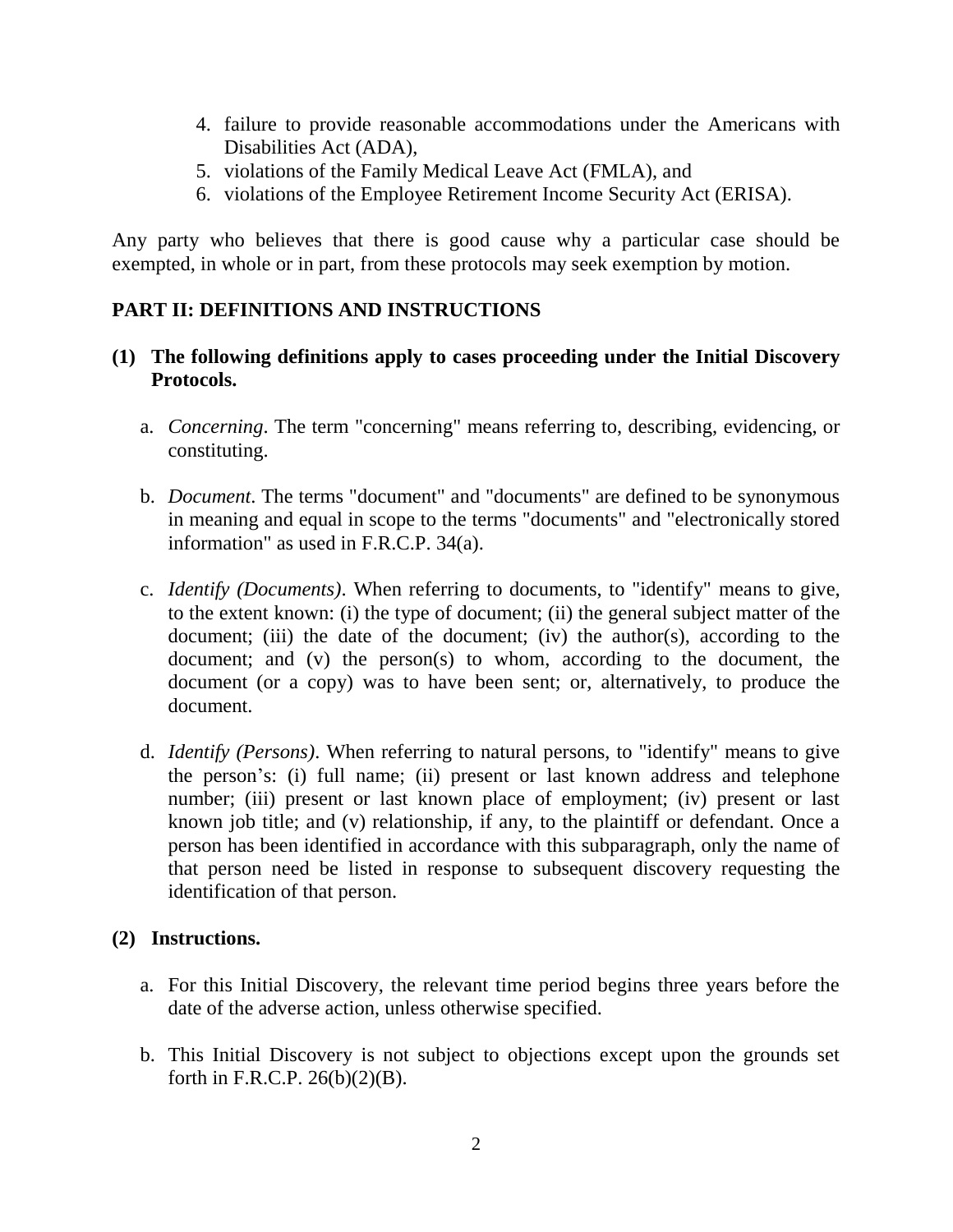- 4. failure to provide reasonable accommodations under the Americans with Disabilities Act (ADA),
- 5. violations of the Family Medical Leave Act (FMLA), and
- 6. violations of the Employee Retirement Income Security Act (ERISA).

Any party who believes that there is good cause why a particular case should be exempted, in whole or in part, from these protocols may seek exemption by motion.

# **PART II: DEFINITIONS AND INSTRUCTIONS**

#### **(1) The following definitions apply to cases proceeding under the Initial Discovery Protocols.**

- a. *Concerning*. The term "concerning" means referring to, describing, evidencing, or constituting.
- b. *Document*. The terms "document" and "documents" are defined to be synonymous in meaning and equal in scope to the terms "documents" and "electronically stored information" as used in F.R.C.P. 34(a).
- c. *Identify (Documents)*. When referring to documents, to "identify" means to give, to the extent known: (i) the type of document; (ii) the general subject matter of the document; (iii) the date of the document; (iv) the author(s), according to the document; and (v) the person(s) to whom, according to the document, the document (or a copy) was to have been sent; or, alternatively, to produce the document.
- d. *Identify (Persons)*. When referring to natural persons, to "identify" means to give the person's: (i) full name; (ii) present or last known address and telephone number; (iii) present or last known place of employment; (iv) present or last known job title; and (v) relationship, if any, to the plaintiff or defendant. Once a person has been identified in accordance with this subparagraph, only the name of that person need be listed in response to subsequent discovery requesting the identification of that person.

# **(2) Instructions.**

- a. For this Initial Discovery, the relevant time period begins three years before the date of the adverse action, unless otherwise specified.
- b. This Initial Discovery is not subject to objections except upon the grounds set forth in F.R.C.P. 26(b)(2)(B).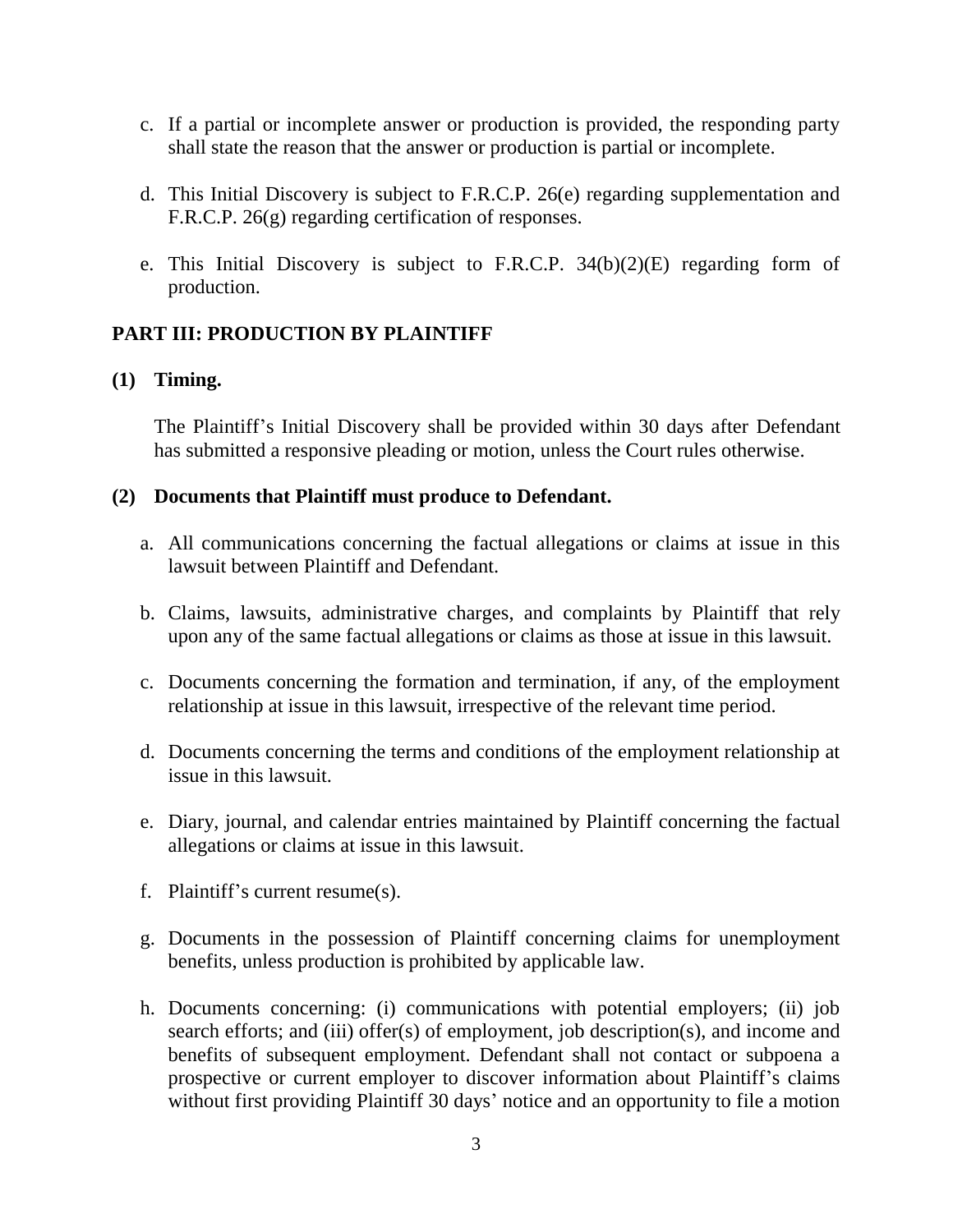- c. If a partial or incomplete answer or production is provided, the responding party shall state the reason that the answer or production is partial or incomplete.
- d. This Initial Discovery is subject to F.R.C.P. 26(e) regarding supplementation and F.R.C.P. 26(g) regarding certification of responses.
- e. This Initial Discovery is subject to F.R.C.P. 34(b)(2)(E) regarding form of production.

# **PART III: PRODUCTION BY PLAINTIFF**

# **(1) Timing.**

The Plaintiff's Initial Discovery shall be provided within 30 days after Defendant has submitted a responsive pleading or motion, unless the Court rules otherwise.

#### **(2) Documents that Plaintiff must produce to Defendant.**

- a. All communications concerning the factual allegations or claims at issue in this lawsuit between Plaintiff and Defendant.
- b. Claims, lawsuits, administrative charges, and complaints by Plaintiff that rely upon any of the same factual allegations or claims as those at issue in this lawsuit.
- c. Documents concerning the formation and termination, if any, of the employment relationship at issue in this lawsuit, irrespective of the relevant time period.
- d. Documents concerning the terms and conditions of the employment relationship at issue in this lawsuit.
- e. Diary, journal, and calendar entries maintained by Plaintiff concerning the factual allegations or claims at issue in this lawsuit.
- f. Plaintiff's current resume(s).
- g. Documents in the possession of Plaintiff concerning claims for unemployment benefits, unless production is prohibited by applicable law.
- h. Documents concerning: (i) communications with potential employers; (ii) job search efforts; and (iii) offer(s) of employment, job description(s), and income and benefits of subsequent employment. Defendant shall not contact or subpoena a prospective or current employer to discover information about Plaintiff's claims without first providing Plaintiff 30 days' notice and an opportunity to file a motion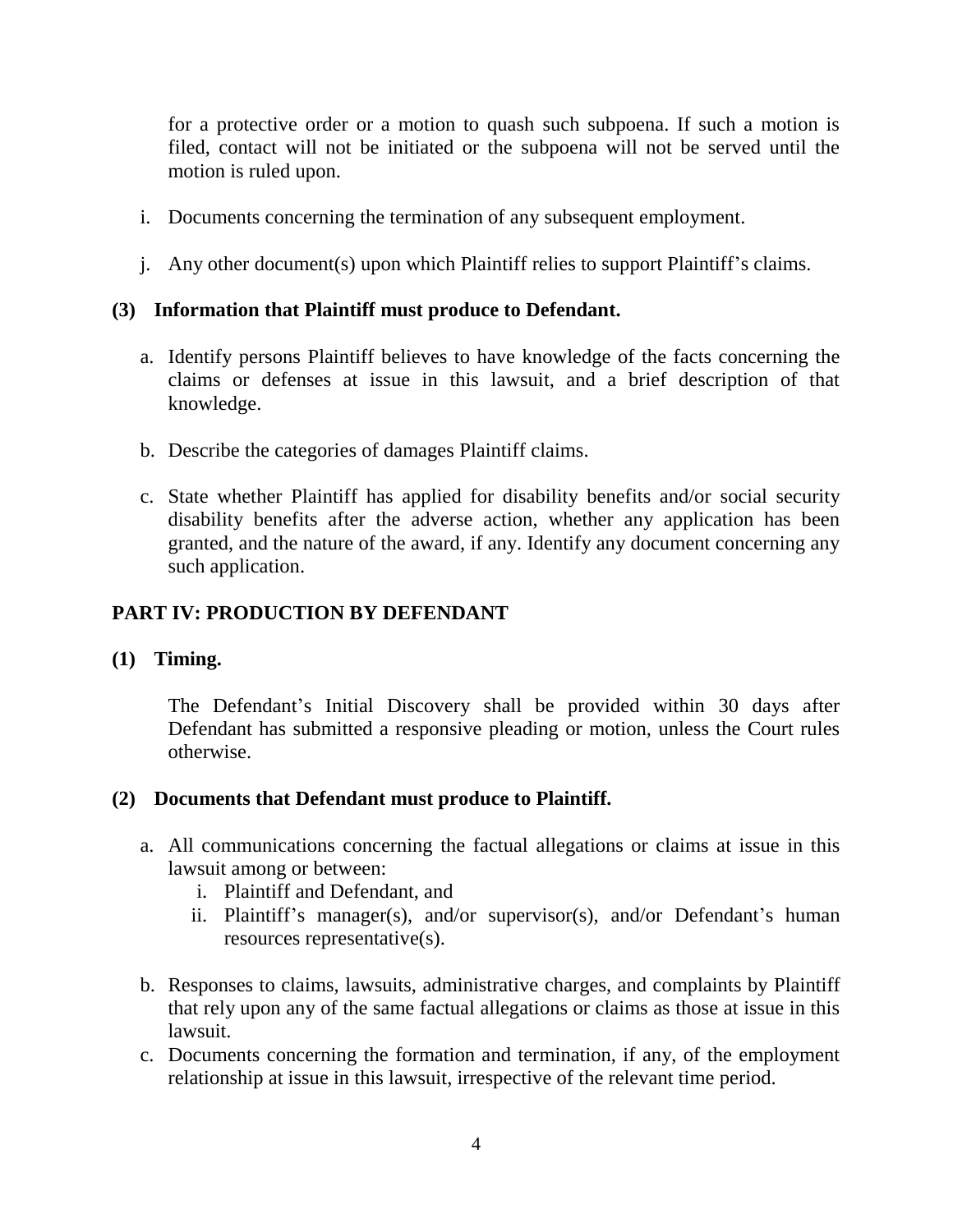for a protective order or a motion to quash such subpoena. If such a motion is filed, contact will not be initiated or the subpoena will not be served until the motion is ruled upon.

- i. Documents concerning the termination of any subsequent employment.
- j. Any other document(s) upon which Plaintiff relies to support Plaintiff's claims.

# **(3) Information that Plaintiff must produce to Defendant.**

- a. Identify persons Plaintiff believes to have knowledge of the facts concerning the claims or defenses at issue in this lawsuit, and a brief description of that knowledge.
- b. Describe the categories of damages Plaintiff claims.
- c. State whether Plaintiff has applied for disability benefits and/or social security disability benefits after the adverse action, whether any application has been granted, and the nature of the award, if any. Identify any document concerning any such application.

# **PART IV: PRODUCTION BY DEFENDANT**

# **(1) Timing.**

The Defendant's Initial Discovery shall be provided within 30 days after Defendant has submitted a responsive pleading or motion, unless the Court rules otherwise.

# **(2) Documents that Defendant must produce to Plaintiff.**

- a. All communications concerning the factual allegations or claims at issue in this lawsuit among or between:
	- i. Plaintiff and Defendant, and
	- ii. Plaintiff's manager(s), and/or supervisor(s), and/or Defendant's human resources representative(s).
- b. Responses to claims, lawsuits, administrative charges, and complaints by Plaintiff that rely upon any of the same factual allegations or claims as those at issue in this lawsuit.
- c. Documents concerning the formation and termination, if any, of the employment relationship at issue in this lawsuit, irrespective of the relevant time period.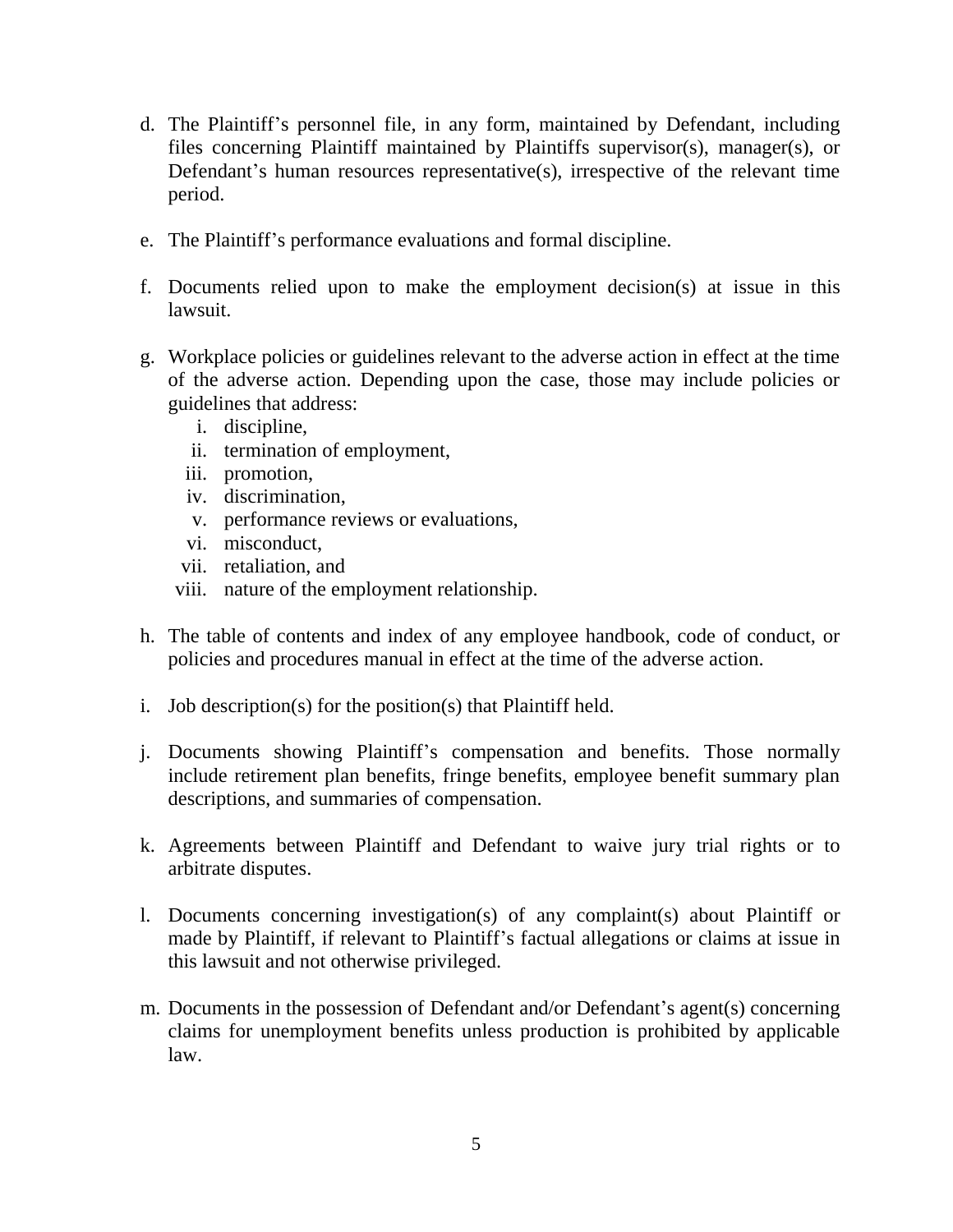- d. The Plaintiff's personnel file, in any form, maintained by Defendant, including files concerning Plaintiff maintained by Plaintiffs supervisor(s), manager(s), or Defendant's human resources representative(s), irrespective of the relevant time period.
- e. The Plaintiff's performance evaluations and formal discipline.
- f. Documents relied upon to make the employment decision(s) at issue in this lawsuit.
- g. Workplace policies or guidelines relevant to the adverse action in effect at the time of the adverse action. Depending upon the case, those may include policies or guidelines that address:
	- i. discipline,
	- ii. termination of employment,
	- iii. promotion,
	- iv. discrimination,
	- v. performance reviews or evaluations,
	- vi. misconduct,
	- vii. retaliation, and
	- viii. nature of the employment relationship.
- h. The table of contents and index of any employee handbook, code of conduct, or policies and procedures manual in effect at the time of the adverse action.
- i. Job description(s) for the position(s) that Plaintiff held.
- j. Documents showing Plaintiff's compensation and benefits. Those normally include retirement plan benefits, fringe benefits, employee benefit summary plan descriptions, and summaries of compensation.
- k. Agreements between Plaintiff and Defendant to waive jury trial rights or to arbitrate disputes.
- l. Documents concerning investigation(s) of any complaint(s) about Plaintiff or made by Plaintiff, if relevant to Plaintiff's factual allegations or claims at issue in this lawsuit and not otherwise privileged.
- m. Documents in the possession of Defendant and/or Defendant's agent(s) concerning claims for unemployment benefits unless production is prohibited by applicable law.